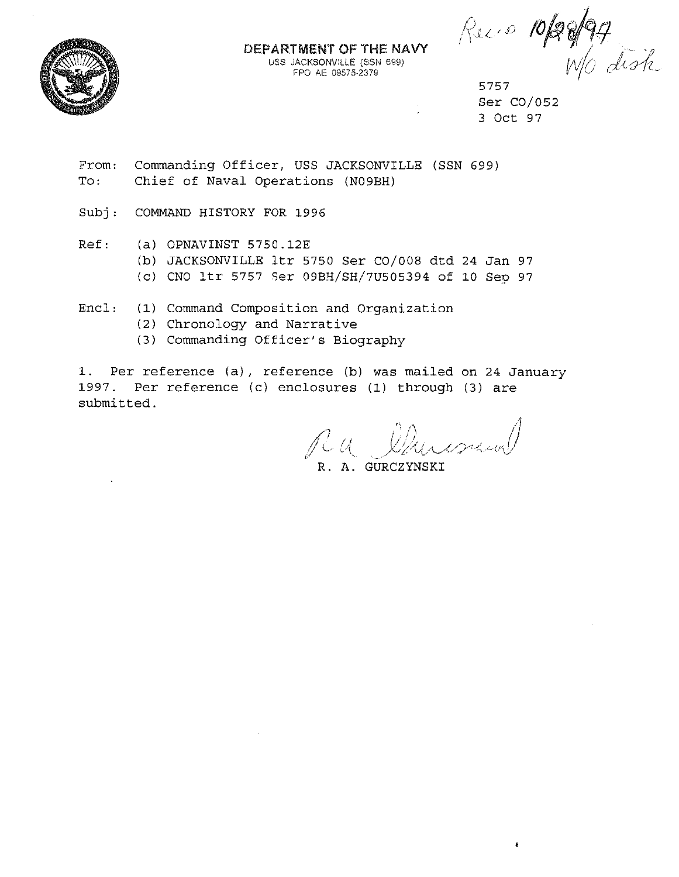

## DEPARTMENT OF THE NAVY **USS JACKSONVILLE (SSN 699)** FPO AE 09575-2379

Ruis 10/20/94

Ser C0/052 3 Oct 97

From: To: Commanding Officer, USS JACKSONVILLE (SSN 699) Chief of Naval Operations (N09BH)

Subj: COMMAND HISTORY FOR 1996

Ref: (a) OPNAVINST 5750.12E

- (b) JACKSONVILLE ltr 5750 Ser C0/008 dtd 24 Jan 97
- (c) CNO ltr 5757 Ser 09BH/SH/7U505394 of 10 Sep 97

Encl: (1) Command Composition and Organization

- (2) Chronology and Narrative
- (3) Commanding Officer's Biography

1. Per reference (a), reference (b) was mailed on 24 January 1997. Per reference (c) enclosures (1) through (3) are submitted.

 $\Lambda$ ,  $\Lambda$  $\mathcal{V}/\mathcal{W}$ 

R. A. GURCZYNSKI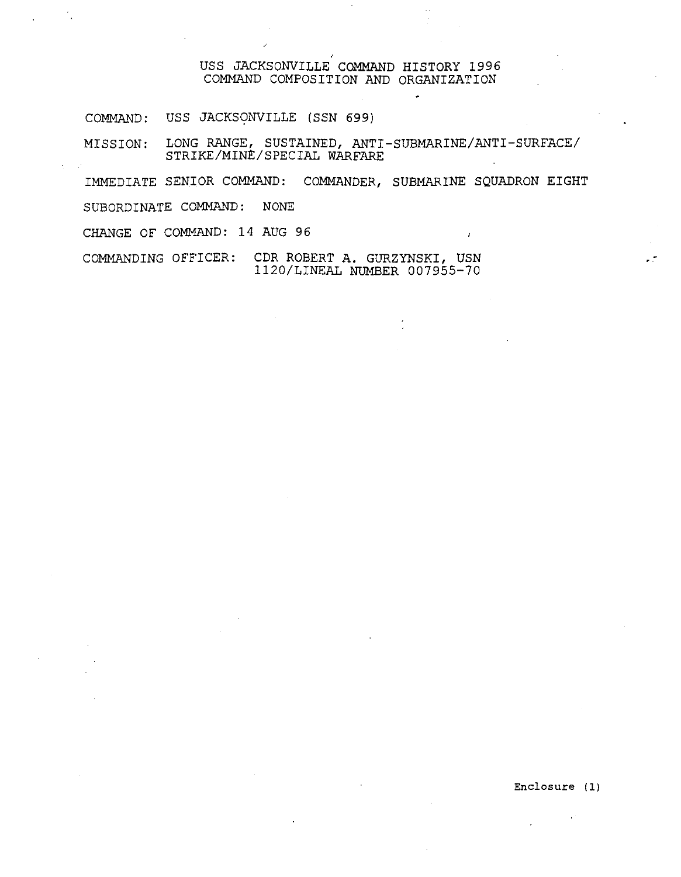## USS JACKSONVILLE COMMAND HISTORY 1996 COMMAND COMPOSITION AND ORGANIZATION

COMMAND: USS JACKSONVILLE (SSN 699)

MISSION: LONG RANGE, SUSTAINED, ANTI-SUBMARINE/ANTI-SURFACE/ STRIKE/MINt/SPECIAL WARFARE

IMMEDIATE SENIOR COMMAND: COMMANDER, SUBMARINE SQUADRON EIGHT

SUBORDINATE COMMAND: NONE

CHANGE OF COMMAND: 14 AUG 96

COMMANDING OFFICER: CDR ROBERT A. GURZYNSKI, USN 1120/LINEAL NUMBER 007955-70

Enclosure (1)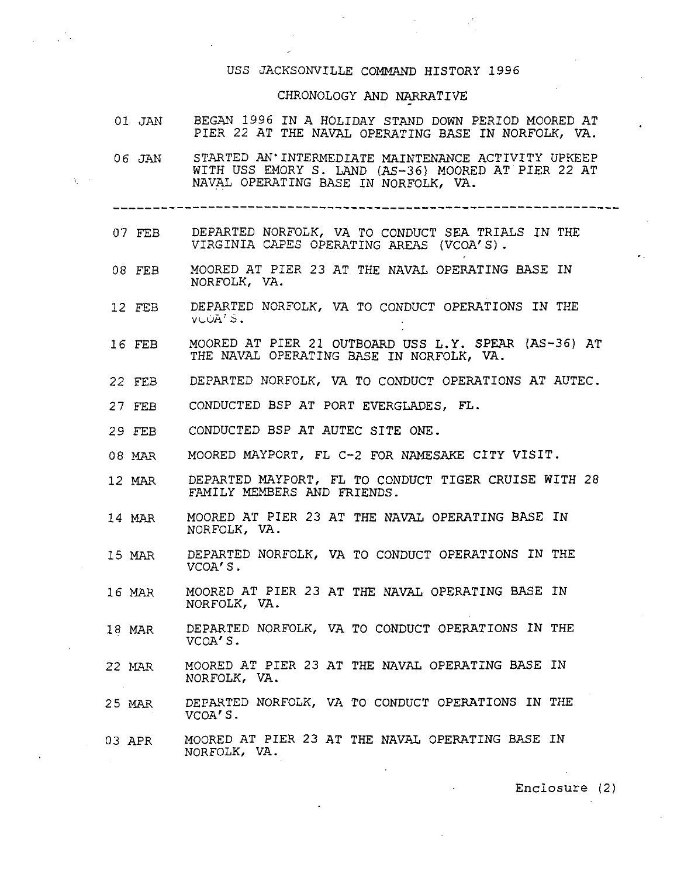## USS JACKSONVILLE COMMAND HISTORY 1996

## CHRONOLOGY AND NARRATIVE

| 01 JAN | BEGAN 1996 IN A HOLIDAY STAND DOWN PERIOD MOORED AT<br>PIER 22 AT THE NAVAL OPERATING BASE IN NORFOLK, VA.                                                |
|--------|-----------------------------------------------------------------------------------------------------------------------------------------------------------|
|        | 06 JAN STARTED AN'INTERMEDIATE MAINTENANCE ACTIVITY UPKEEP<br>WITH USS EMORY S. LAND (AS-36) MOORED AT PIER 22 AT<br>NAVAL OPERATING BASE IN NORFOLK, VA. |
|        |                                                                                                                                                           |
| 07 FEB | DEPARTED NORFOLK, VA TO CONDUCT SEA TRIALS IN THE<br>VIRGINIA CAPES OPERATING AREAS (VCOA'S).                                                             |
| 08 FEB | MOORED AT PIER 23 AT THE NAVAL OPERATING BASE IN<br>NORFOLK, VA.                                                                                          |
| 12 FEB | DEPARTED NORFOLK, VA TO CONDUCT OPERATIONS IN THE<br>VUÜA <sup>7</sup> S.                                                                                 |
| 16 FEB | MOORED AT PIER 21 OUTBOARD USS L.Y. SPEAR (AS-36) AT<br>THE NAVAL OPERATING BASE IN NORFOLK, VA.                                                          |
| 22 FEB | DEPARTED NORFOLK, VA TO CONDUCT OPERATIONS AT AUTEC.                                                                                                      |
| 27 FEB | CONDUCTED BSP AT PORT EVERGLADES, FL.                                                                                                                     |
| 29 FEB | CONDUCTED BSP AT AUTEC SITE ONE.                                                                                                                          |
| 08 MAR | MOORED MAYPORT, FL C-2 FOR NAMESAKE CITY VISIT.                                                                                                           |
| 12 MAR | DEPARTED MAYPORT, FL TO CONDUCT TIGER CRUISE WITH 28<br>FAMILY MEMBERS AND FRIENDS.                                                                       |
| 14 MAR | MOORED AT PIER 23 AT THE NAVAL OPERATING BASE IN<br>NORFOLK, VA.                                                                                          |
| 15 MAR | DEPARTED NORFOLK, VA TO CONDUCT OPERATIONS IN THE<br>VCOA'S.                                                                                              |
| 16 MAR | MOORED AT PIER 23 AT THE NAVAL OPERATING BASE IN<br>NORFOLK, VA.                                                                                          |
| 18 MAR | DEPARTED NORFOLK, VA TO CONDUCT OPERATIONS IN THE<br>VCOA'S.                                                                                              |
| 22 MAR | MOORED AT PIER 23 AT THE NAVAL OPERATING BASE IN<br>NORFOLK, VA.                                                                                          |
| 25 MAR | DEPARTED NORFOLK, VA TO CONDUCT OPERATIONS IN THE<br>VCOA'S.                                                                                              |
| 03 APR | MOORED AT PIER 23 AT THE NAVAL OPERATING BASE IN<br>NORFOLK, VA.                                                                                          |

Enclosure (2)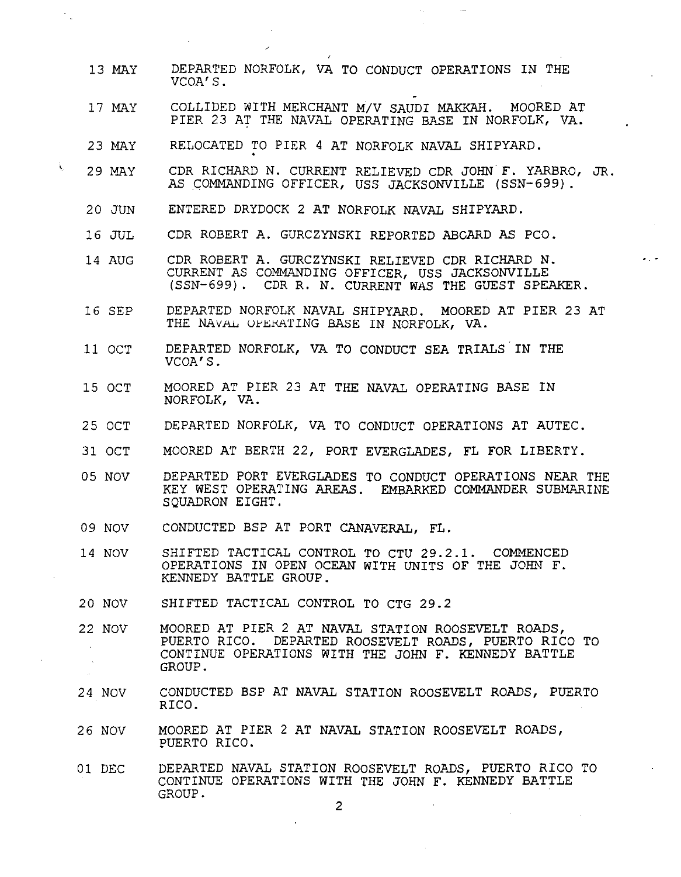- 13 MAY DEPARTED NORFOLK, VA TO CONDUCT OPERATIONS IN THE VCOA'S.
- 17 MAY COLLIDED WITH MERCHANT M/V SAUDI MAKKAH. MOORED AT PIER 23 AT THE NAVAL OPERATING BASE IN NORFOLK, VA.
- 23 MAY RELOCATED TO PIER 4 AT NORFOLK NAVAL SHIPYARD. .
- 29 MAY CDR RICHARD N. CURRENT RELIEVED CDR JOHN F. YARBRO, JR. AS COMMANDING OFFICER, USS JACKSONVILLE (SSN-699).
- 20 JUN ENTERED DRYDOCK 2 AT NORFOLK NAVAL SHIPYARD.
- 16 JUL CDR ROBERT A. GURCZYNSKI REPORTED ABGARD AS PCO.
- 14 AUG CDR ROBERT A. GURCZYNSKI RELIEVED CDR RICHARD N. CURRENT AS COMMANDING OFFICER, USS JACKSONVILLE (SSN-699). CDR R. N. CURRENT WAS THE GUEST SPEAKER.
- 16 SEP DEPARTED NORFOLK NAVAL SHIPYARD. MOORED AT PIER 23 AT THE NAVAL OFERATING BASE IN NORFOLK, VA.
- 11 OCT DEPARTED NORFOLK, VA TO CONDUCT SEA TRIALS IN THE VCOA'S.
- 15 OCT MOORED AT PIER 23 AT THE NAVAL OPERATING BASE IN NORFOLK, VA.
- 25 OCT DEPARTED NORFOLK, VA TO CONDUCT OPERATIONS AT AUTEC.
- 31 OCT MOORED AT BERTH 22, PORT EVERGLADES, FL FOR LIBERTY.
- 05 NOV DEPARTED PORT EVERGLADES TO CONDUCT OPERATIONS NEAR THE KEY WEST OPERATING AREAS. EMBARKED COMMANDER SUBMARINE SQUADRON EIGHT.
- 09 NOV CONDUCTED BSP AT PORT CANAVERAL, FL.
- 14 NOV SHIFTED TACTICAL CONTROL TO CTU 29.2.1. COMMENCED OPERATIONS IN OPEN OCEAN WITH UNITS OF THE JOHN F. KENNEDY BATTLE GROUP.
- 20 NOV SHIFTED TACTICAL CONTROL TO CTG 29.2
- 22 NOV MOORED AT PIER 2 AT NAVAL STATION ROOSEVELT ROADS, PUERTO RICO. DEPARTED ROOSEVELT ROADS, PUERTO RICO TO CONTINUE OPERATIONS WITH THE JOHN F. KENNEDY BATTLE GROUP.
- 24 NOV CONDUCTED BSP AT NAVAL STATION ROOSEVELT ROADS, PUERTO RICO.
- 26 NOV MOORED AT PIER 2 AT NAVAL STATION ROOSEVELT ROADS, PUERTO RICO.
- 01 DEC DEPARTED NAVAL STATION ROOSEVELT ROADS, PUERTO RICO TO CONTINUE OPERATIONS WITH THE JOHN F. KENNEDY BATTLE GROUP.